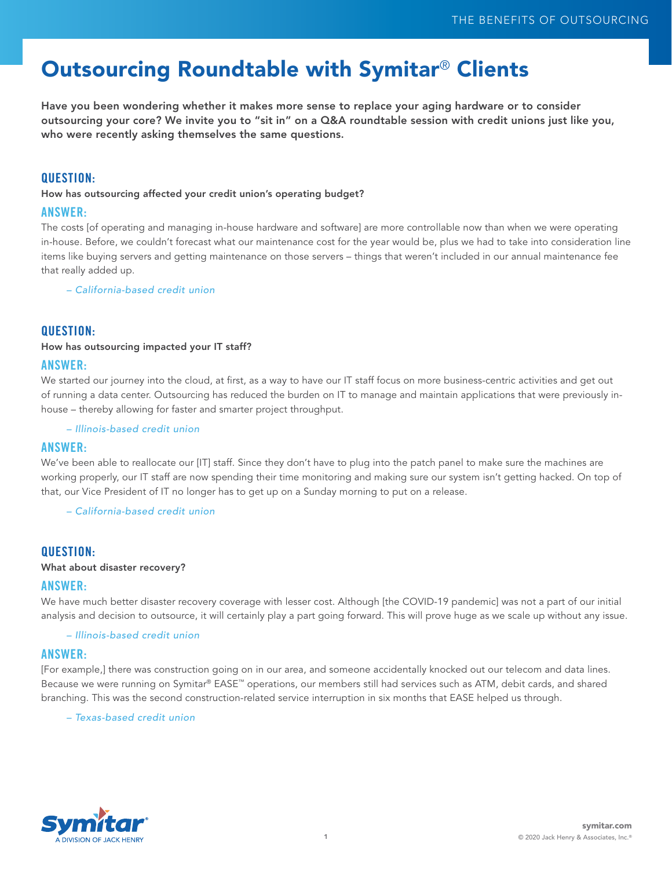# Outsourcing Roundtable with Symitar® Clients

Have you been wondering whether it makes more sense to replace your aging hardware or to consider outsourcing your core? We invite you to "sit in" on a Q&A roundtable session with credit unions just like you, who were recently asking themselves the same questions.

## QUESTION:

How has outsourcing affected your credit union's operating budget?

#### ANSWER:

The costs [of operating and managing in-house hardware and software] are more controllable now than when we were operating in-house. Before, we couldn't forecast what our maintenance cost for the year would be, plus we had to take into consideration line items like buying servers and getting maintenance on those servers – things that weren't included in our annual maintenance fee that really added up.

*– California-based credit union*

## QUESTION:

#### How has outsourcing impacted your IT staff?

## ANSWER:

We started our journey into the cloud, at first, as a way to have our IT staff focus on more business-centric activities and get out of running a data center. Outsourcing has reduced the burden on IT to manage and maintain applications that were previously inhouse – thereby allowing for faster and smarter project throughput.

*– Illinois-based credit union*

## ANSWER:

We've been able to reallocate our [IT] staff. Since they don't have to plug into the patch panel to make sure the machines are working properly, our IT staff are now spending their time monitoring and making sure our system isn't getting hacked. On top of that, our Vice President of IT no longer has to get up on a Sunday morning to put on a release.

*– California-based credit union*

## QUESTION:

#### What about disaster recovery?

#### ANSWER:

We have much better disaster recovery coverage with lesser cost. Although [the COVID-19 pandemic] was not a part of our initial analysis and decision to outsource, it will certainly play a part going forward. This will prove huge as we scale up without any issue.

*– Illinois-based credit union*

#### ANSWER:

[For example,] there was construction going on in our area, and someone accidentally knocked out our telecom and data lines. Because we were running on Symitar® EASE™ operations, our members still had services such as ATM, debit cards, and shared branching. This was the second construction-related service interruption in six months that EASE helped us through.

*– Texas-based credit union*